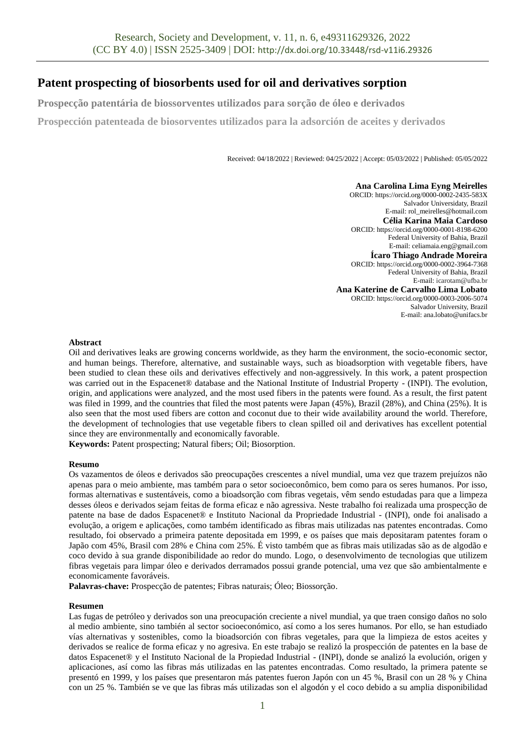# **Patent prospecting of biosorbents used for oil and derivatives sorption**

**Prospecção patentária de biossorventes utilizados para sorção de óleo e derivados**

**Prospección patenteada de biosorventes utilizados para la adsorción de aceites y derivados**

Received: 04/18/2022 | Reviewed: 04/25/2022 | Accept: 05/03/2022 | Published: 05/05/2022

**Ana Carolina Lima Eyng Meirelles** ORCID[: https://orcid.org/0000-0002-2435-583X](https://orcid.org/0000-0002-2435-583X) Salvador Universidaty, Brazil E-mail: rol\_meirelles@hotmail.com **Célia Karina Maia Cardoso** ORCID: https://orcid.org/0000-0001-8198-6200 Federal University of Bahia, Brazil E-mail: celiamaia.eng@gmail.com **Ícaro Thiago Andrade Moreira** ORCID: https://orcid.org/0000-0002-3964-7368 Federal University of Bahia, Brazil E-mail: icarotam@ufba.br **Ana Katerine de Carvalho Lima Lobato** ORCID[: https://orcid.org/0000-0003-2006-5074](https://orcid.org/0000-0003-2006-5074) Salvador University, Brazil E-mail: ana.lobato@unifacs.br

# **Abstract**

Oil and derivatives leaks are growing concerns worldwide, as they harm the environment, the socio-economic sector, and human beings. Therefore, alternative, and sustainable ways, such as bioadsorption with vegetable fibers, have been studied to clean these oils and derivatives effectively and non-aggressively. In this work, a patent prospection was carried out in the Espacenet® database and the National Institute of Industrial Property - (INPI). The evolution, origin, and applications were analyzed, and the most used fibers in the patents were found. As a result, the first patent was filed in 1999, and the countries that filed the most patents were Japan (45%), Brazil (28%), and China (25%). It is also seen that the most used fibers are cotton and coconut due to their wide availability around the world. Therefore, the development of technologies that use vegetable fibers to clean spilled oil and derivatives has excellent potential since they are environmentally and economically favorable.

**Keywords:** Patent prospecting; Natural fibers; Oil; Biosorption.

#### **Resumo**

Os vazamentos de óleos e derivados são preocupações crescentes a nível mundial, uma vez que trazem prejuízos não apenas para o meio ambiente, mas também para o setor socioeconômico, bem como para os seres humanos. Por isso, formas alternativas e sustentáveis, como a bioadsorção com fibras vegetais, vêm sendo estudadas para que a limpeza desses óleos e derivados sejam feitas de forma eficaz e não agressiva. Neste trabalho foi realizada uma prospecção de patente na base de dados Espacenet® e Instituto Nacional da Propriedade Industrial - (INPI), onde foi analisado a evolução, a origem e aplicações, como também identificado as fibras mais utilizadas nas patentes encontradas. Como resultado, foi observado a primeira patente depositada em 1999, e os países que mais depositaram patentes foram o Japão com 45%, Brasil com 28% e China com 25%. É visto também que as fibras mais utilizadas são as de algodão e coco devido à sua grande disponibilidade ao redor do mundo. Logo, o desenvolvimento de tecnologias que utilizem fibras vegetais para limpar óleo e derivados derramados possui grande potencial, uma vez que são ambientalmente e economicamente favoráveis.

**Palavras-chave:** Prospecção de patentes; Fibras naturais; Óleo; Biossorção.

#### **Resumen**

Las fugas de petróleo y derivados son una preocupación creciente a nivel mundial, ya que traen consigo daños no solo al medio ambiente, sino también al sector socioeconómico, así como a los seres humanos. Por ello, se han estudiado vías alternativas y sostenibles, como la bioadsorción con fibras vegetales, para que la limpieza de estos aceites y derivados se realice de forma eficaz y no agresiva. En este trabajo se realizó la prospección de patentes en la base de datos Espacenet® y el Instituto Nacional de la Propiedad Industrial - (INPI), donde se analizó la evolución, origen y aplicaciones, así como las fibras más utilizadas en las patentes encontradas. Como resultado, la primera patente se presentó en 1999, y los países que presentaron más patentes fueron Japón con un 45 %, Brasil con un 28 % y China con un 25 %. También se ve que las fibras más utilizadas son el algodón y el coco debido a su amplia disponibilidad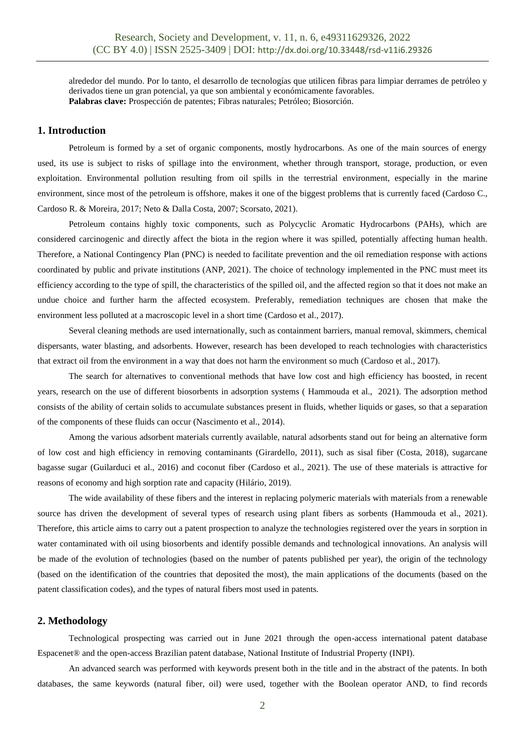alrededor del mundo. Por lo tanto, el desarrollo de tecnologías que utilicen fibras para limpiar derrames de petróleo y derivados tiene un gran potencial, ya que son ambiental y económicamente favorables. **Palabras clave:** Prospección de patentes; Fibras naturales; Petróleo; Biosorción.

## **1. Introduction**

Petroleum is formed by a set of organic components, mostly hydrocarbons. As one of the main sources of energy used, its use is subject to risks of spillage into the environment, whether through transport, storage, production, or even exploitation. Environmental pollution resulting from oil spills in the terrestrial environment, especially in the marine environment, since most of the petroleum is offshore, makes it one of the biggest problems that is currently faced (Cardoso C., Cardoso R. & Moreira, 2017; Neto & Dalla Costa, 2007; Scorsato, 2021).

Petroleum contains highly toxic components, such as Polycyclic Aromatic Hydrocarbons (PAHs), which are considered carcinogenic and directly affect the biota in the region where it was spilled, potentially affecting human health. Therefore, a National Contingency Plan (PNC) is needed to facilitate prevention and the oil remediation response with actions coordinated by public and private institutions (ANP, 2021). The choice of technology implemented in the PNC must meet its efficiency according to the type of spill, the characteristics of the spilled oil, and the affected region so that it does not make an undue choice and further harm the affected ecosystem. Preferably, remediation techniques are chosen that make the environment less polluted at a macroscopic level in a short time (Cardoso et al., 2017).

Several cleaning methods are used internationally, such as containment barriers, manual removal, skimmers, chemical dispersants, water blasting, and adsorbents. However, research has been developed to reach technologies with characteristics that extract oil from the environment in a way that does not harm the environment so much (Cardoso et al., 2017).

The search for alternatives to conventional methods that have low cost and high efficiency has boosted, in recent years, research on the use of different biosorbents in adsorption systems ( Hammouda et al., 2021). The adsorption method consists of the ability of certain solids to accumulate substances present in fluids, whether liquids or gases, so that a separation of the components of these fluids can occur (Nascimento et al., 2014).

Among the various adsorbent materials currently available, natural adsorbents stand out for being an alternative form of low cost and high efficiency in removing contaminants (Girardello, 2011), such as sisal fiber (Costa, 2018), sugarcane bagasse sugar (Guilarduci et al., 2016) and coconut fiber (Cardoso et al., 2021). The use of these materials is attractive for reasons of economy and high sorption rate and capacity (Hilário, 2019).

The wide availability of these fibers and the interest in replacing polymeric materials with materials from a renewable source has driven the development of several types of research using plant fibers as sorbents (Hammouda et al., 2021). Therefore, this article aims to carry out a patent prospection to analyze the technologies registered over the years in sorption in water contaminated with oil using biosorbents and identify possible demands and technological innovations. An analysis will be made of the evolution of technologies (based on the number of patents published per year), the origin of the technology (based on the identification of the countries that deposited the most), the main applications of the documents (based on the patent classification codes), and the types of natural fibers most used in patents.

## **2. Methodology**

Technological prospecting was carried out in June 2021 through the open-access international patent database Espacenet® and the open-access Brazilian patent database, National Institute of Industrial Property (INPI).

An advanced search was performed with keywords present both in the title and in the abstract of the patents. In both databases, the same keywords (natural fiber, oil) were used, together with the Boolean operator AND, to find records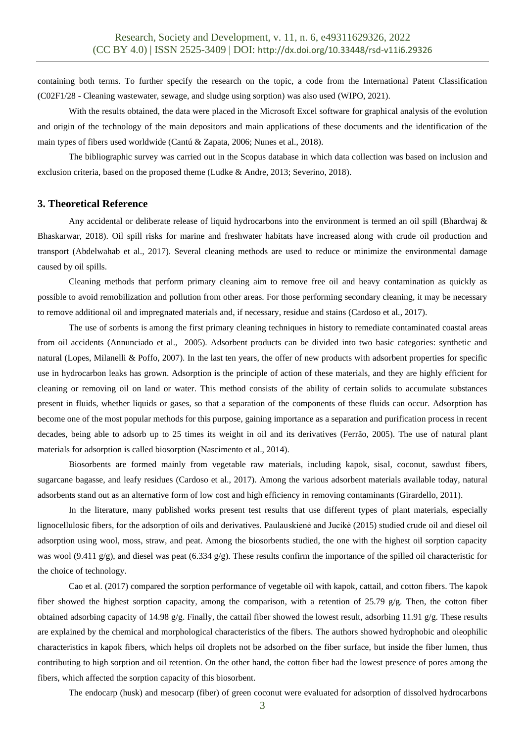containing both terms. To further specify the research on the topic, a code from the International Patent Classification (C02F1/28 - Cleaning wastewater, sewage, and sludge using sorption) was also used (WIPO, 2021).

With the results obtained, the data were placed in the Microsoft Excel software for graphical analysis of the evolution and origin of the technology of the main depositors and main applications of these documents and the identification of the main types of fibers used worldwide (Cantú & Zapata, 2006; Nunes et al., 2018).

The bibliographic survey was carried out in the Scopus database in which data collection was based on inclusion and exclusion criteria, based on the proposed theme (Ludke & Andre, 2013; Severino, 2018).

### **3. Theoretical Reference**

Any accidental or deliberate release of liquid hydrocarbons into the environment is termed an oil spill (Bhardwai & Bhaskarwar, 2018). Oil spill risks for marine and freshwater habitats have increased along with crude oil production and transport (Abdelwahab et al., 2017). Several cleaning methods are used to reduce or minimize the environmental damage caused by oil spills.

Cleaning methods that perform primary cleaning aim to remove free oil and heavy contamination as quickly as possible to avoid remobilization and pollution from other areas. For those performing secondary cleaning, it may be necessary to remove additional oil and impregnated materials and, if necessary, residue and stains (Cardoso et al., 2017).

The use of sorbents is among the first primary cleaning techniques in history to remediate contaminated coastal areas from oil accidents (Annunciado et al., 2005). Adsorbent products can be divided into two basic categories: synthetic and natural (Lopes, Milanelli & Poffo, 2007). In the last ten years, the offer of new products with adsorbent properties for specific use in hydrocarbon leaks has grown. Adsorption is the principle of action of these materials, and they are highly efficient for cleaning or removing oil on land or water. This method consists of the ability of certain solids to accumulate substances present in fluids, whether liquids or gases, so that a separation of the components of these fluids can occur. Adsorption has become one of the most popular methods for this purpose, gaining importance as a separation and purification process in recent decades, being able to adsorb up to 25 times its weight in oil and its derivatives (Ferrão, 2005). The use of natural plant materials for adsorption is called biosorption (Nascimento et al., 2014).

Biosorbents are formed mainly from vegetable raw materials, including kapok, sisal, coconut, sawdust fibers, sugarcane bagasse, and leafy residues (Cardoso et al., 2017). Among the various adsorbent materials available today, natural adsorbents stand out as an alternative form of low cost and high efficiency in removing contaminants (Girardello, 2011).

In the literature, many published works present test results that use different types of plant materials, especially lignocellulosic fibers, for the adsorption of oils and derivatives. Paulauskienė and Jucikė (2015) studied crude oil and diesel oil adsorption using wool, moss, straw, and peat. Among the biosorbents studied, the one with the highest oil sorption capacity was wool (9.411 g/g), and diesel was peat (6.334 g/g). These results confirm the importance of the spilled oil characteristic for the choice of technology.

Cao et al. (2017) compared the sorption performance of vegetable oil with kapok, cattail, and cotton fibers. The kapok fiber showed the highest sorption capacity, among the comparison, with a retention of 25.79 g/g. Then, the cotton fiber obtained adsorbing capacity of 14.98 g/g. Finally, the cattail fiber showed the lowest result, adsorbing 11.91 g/g. These results are explained by the chemical and morphological characteristics of the fibers. The authors showed hydrophobic and oleophilic characteristics in kapok fibers, which helps oil droplets not be adsorbed on the fiber surface, but inside the fiber lumen, thus contributing to high sorption and oil retention. On the other hand, the cotton fiber had the lowest presence of pores among the fibers, which affected the sorption capacity of this biosorbent.

The endocarp (husk) and mesocarp (fiber) of green coconut were evaluated for adsorption of dissolved hydrocarbons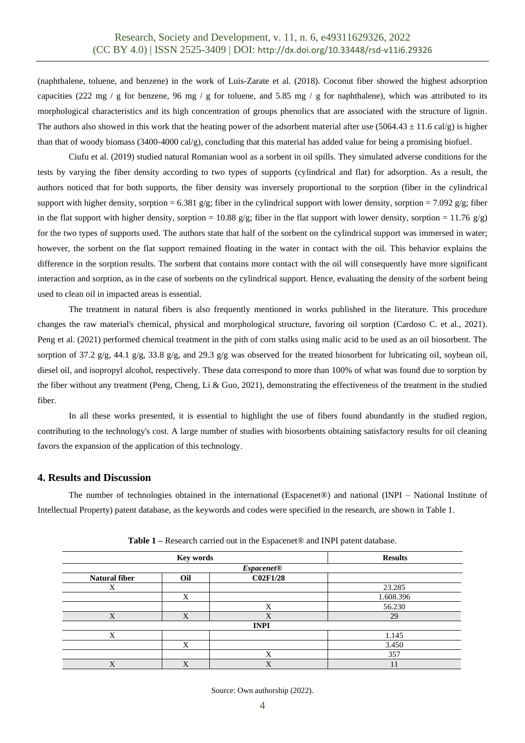(naphthalene, toluene, and benzene) in the work of Luis-Zarate et al. (2018). Coconut fiber showed the highest adsorption capacities (222 mg / g for benzene, 96 mg / g for toluene, and 5.85 mg / g for naphthalene), which was attributed to its morphological characteristics and its high concentration of groups phenolics that are associated with the structure of lignin. The authors also showed in this work that the heating power of the adsorbent material after use (5064.43  $\pm$  11.6 cal/g) is higher than that of woody biomass (3400-4000 cal/g), concluding that this material has added value for being a promising biofuel.

Ciufu et al. (2019) studied natural Romanian wool as a sorbent in oil spills. They simulated adverse conditions for the tests by varying the fiber density according to two types of supports (cylindrical and flat) for adsorption. As a result, the authors noticed that for both supports, the fiber density was inversely proportional to the sorption (fiber in the cylindrical support with higher density, sorption = 6.381 g/g; fiber in the cylindrical support with lower density, sorption = 7.092 g/g; fiber in the flat support with higher density, sorption = 10.88 g/g; fiber in the flat support with lower density, sorption = 11.76 g/g) for the two types of supports used. The authors state that half of the sorbent on the cylindrical support was immersed in water; however, the sorbent on the flat support remained floating in the water in contact with the oil. This behavior explains the difference in the sorption results. The sorbent that contains more contact with the oil will consequently have more significant interaction and sorption, as in the case of sorbents on the cylindrical support. Hence, evaluating the density of the sorbent being used to clean oil in impacted areas is essential.

The treatment in natural fibers is also frequently mentioned in works published in the literature. This procedure changes the raw material's chemical, physical and morphological structure, favoring oil sorption (Cardoso C. et al., 2021). Peng et al. (2021) performed chemical treatment in the pith of corn stalks using malic acid to be used as an oil biosorbent. The sorption of 37.2 g/g, 44.1 g/g, 33.8 g/g, and 29.3 g/g was observed for the treated biosorbent for lubricating oil, soybean oil, diesel oil, and isopropyl alcohol, respectively. These data correspond to more than 100% of what was found due to sorption by the fiber without any treatment (Peng, Cheng, Li & Guo, 2021), demonstrating the effectiveness of the treatment in the studied fiber.

In all these works presented, it is essential to highlight the use of fibers found abundantly in the studied region, contributing to the technology's cost. A large number of studies with biosorbents obtaining satisfactory results for oil cleaning favors the expansion of the application of this technology.

# **4. Results and Discussion**

The number of technologies obtained in the international (Espacenet®) and national (INPI – National Institute of Intellectual Property) patent database, as the keywords and codes were specified in the research, are shown in Table 1.

| Key words            |     |                 | <b>Results</b> |  |
|----------------------|-----|-----------------|----------------|--|
| Espacenet@           |     |                 |                |  |
| <b>Natural fiber</b> | Oil | <b>C02F1/28</b> |                |  |
| Χ                    |     |                 | 23.285         |  |
|                      | X   |                 | 1.608.396      |  |
|                      |     | X               | 56.230         |  |
| X                    | X   | X               | 29             |  |
|                      |     | <b>INPI</b>     |                |  |
| X                    |     |                 | 1.145          |  |
|                      | X   |                 | 3.450          |  |
|                      |     | X               | 357            |  |
| X                    | X   | X               | 11             |  |

**Table 1 –** Research carried out in the Espacenet® and INPI patent database.

Source: Own authorship (2022).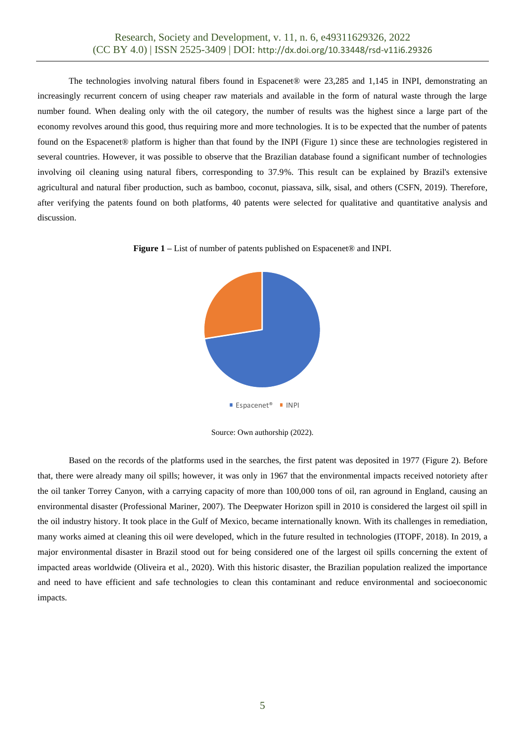The technologies involving natural fibers found in Espacenet® were 23,285 and 1,145 in INPI, demonstrating an increasingly recurrent concern of using cheaper raw materials and available in the form of natural waste through the large number found. When dealing only with the oil category, the number of results was the highest since a large part of the economy revolves around this good, thus requiring more and more technologies. It is to be expected that the number of patents found on the Espacenet® platform is higher than that found by the INPI (Figure 1) since these are technologies registered in several countries. However, it was possible to observe that the Brazilian database found a significant number of technologies involving oil cleaning using natural fibers, corresponding to 37.9%. This result can be explained by Brazil's extensive agricultural and natural fiber production, such as bamboo, coconut, piassava, silk, sisal, and others (CSFN, 2019). Therefore, after verifying the patents found on both platforms, 40 patents were selected for qualitative and quantitative analysis and discussion.





Source: Own authorship (2022).

Based on the records of the platforms used in the searches, the first patent was deposited in 1977 (Figure 2). Before that, there were already many oil spills; however, it was only in 1967 that the environmental impacts received notoriety after the oil tanker Torrey Canyon, with a carrying capacity of more than 100,000 tons of oil, ran aground in England, causing an environmental disaster (Professional Mariner, 2007). The Deepwater Horizon spill in 2010 is considered the largest oil spill in the oil industry history. It took place in the Gulf of Mexico, became internationally known. With its challenges in remediation, many works aimed at cleaning this oil were developed, which in the future resulted in technologies (ITOPF, 2018). In 2019, a major environmental disaster in Brazil stood out for being considered one of the largest oil spills concerning the extent of impacted areas worldwide (Oliveira et al., 2020). With this historic disaster, the Brazilian population realized the importance and need to have efficient and safe technologies to clean this contaminant and reduce environmental and socioeconomic impacts.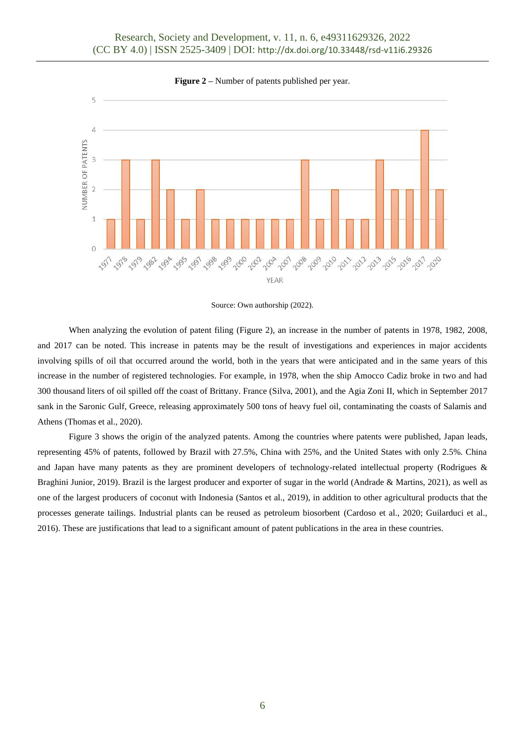

**Figure 2** – Number of patents published per year.



When analyzing the evolution of patent filing (Figure 2), an increase in the number of patents in 1978, 1982, 2008, and 2017 can be noted. This increase in patents may be the result of investigations and experiences in major accidents involving spills of oil that occurred around the world, both in the years that were anticipated and in the same years of this increase in the number of registered technologies. For example, in 1978, when the ship Amocco Cadiz broke in two and had 300 thousand liters of oil spilled off the coast of Brittany. France (Silva, 2001), and the Agia Zoni II, which in September 2017 sank in the Saronic Gulf, Greece, releasing approximately 500 tons of heavy fuel oil, contaminating the coasts of Salamis and Athens (Thomas et al., 2020).

Figure 3 shows the origin of the analyzed patents. Among the countries where patents were published, Japan leads, representing 45% of patents, followed by Brazil with 27.5%, China with 25%, and the United States with only 2.5%. China and Japan have many patents as they are prominent developers of technology-related intellectual property (Rodrigues & Braghini Junior, 2019). Brazil is the largest producer and exporter of sugar in the world (Andrade & Martins, 2021), as well as one of the largest producers of coconut with Indonesia (Santos et al., 2019), in addition to other agricultural products that the processes generate tailings. Industrial plants can be reused as petroleum biosorbent (Cardoso et al., 2020; Guilarduci et al., 2016). These are justifications that lead to a significant amount of patent publications in the area in these countries.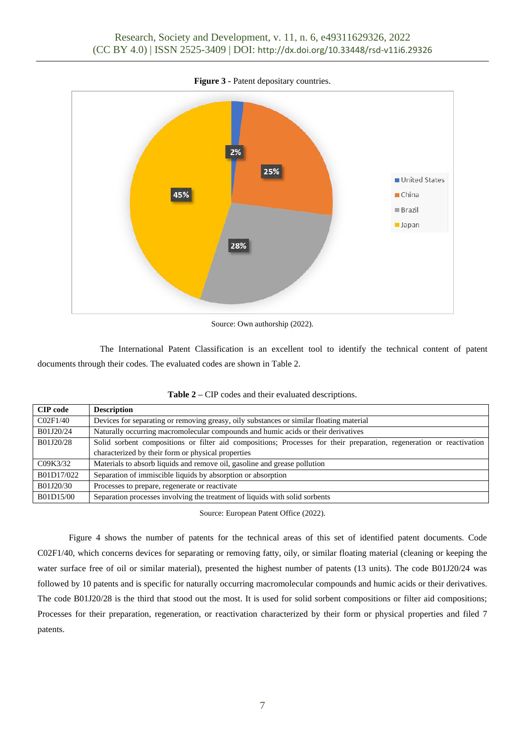

**Figure 3 -** Patent depositary countries.

Source: Own authorship (2022).

The International Patent Classification is an excellent tool to identify the technical content of patent documents through their codes. The evaluated codes are shown in Table 2.

| <b>CIP</b> code | <b>Description</b>                                                                                                   |
|-----------------|----------------------------------------------------------------------------------------------------------------------|
| CO2F1/40        | Devices for separating or removing greasy, oily substances or similar floating material                              |
| B01J20/24       | Naturally occurring macromolecular compounds and humic acids or their derivatives                                    |
| B01J20/28       | Solid sorbent compositions or filter aid compositions; Processes for their preparation, regeneration or reactivation |
|                 | characterized by their form or physical properties                                                                   |
| C09K3/32        | Materials to absorb liquids and remove oil, gasoline and grease pollution                                            |
| B01D17/022      | Separation of immiscible liquids by absorption or absorption                                                         |
| B01J20/30       | Processes to prepare, regenerate or reactivate                                                                       |
| B01D15/00       | Separation processes involving the treatment of liquids with solid sorbents                                          |

**Table 2 –** CIP codes and their evaluated descriptions.

Source: European Patent Office (2022).

Figure 4 shows the number of patents for the technical areas of this set of identified patent documents. Code C02F1/40, which concerns devices for separating or removing fatty, oily, or similar floating material (cleaning or keeping the water surface free of oil or similar material), presented the highest number of patents (13 units). The code B01J20/24 was followed by 10 patents and is specific for naturally occurring macromolecular compounds and humic acids or their derivatives. The code B01J20/28 is the third that stood out the most. It is used for solid sorbent compositions or filter aid compositions; Processes for their preparation, regeneration, or reactivation characterized by their form or physical properties and filed 7 patents.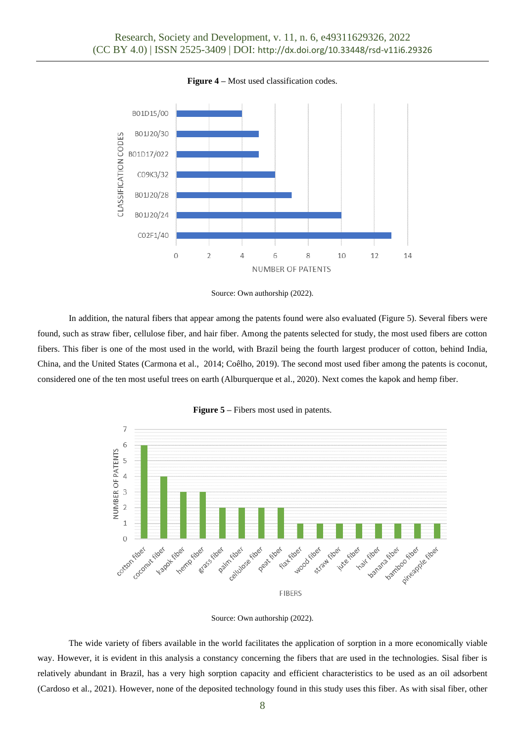

**Figure 4 –** Most used classification codes.



In addition, the natural fibers that appear among the patents found were also evaluated (Figure 5). Several fibers were found, such as straw fiber, cellulose fiber, and hair fiber. Among the patents selected for study, the most used fibers are cotton fibers. This fiber is one of the most used in the world, with Brazil being the fourth largest producer of cotton, behind India, China, and the United States (Carmona et al., 2014; Coêlho, 2019). The second most used fiber among the patents is coconut, considered one of the ten most useful trees on earth (Alburquerque et al., 2020). Next comes the kapok and hemp fiber.





The wide variety of fibers available in the world facilitates the application of sorption in a more economically viable way. However, it is evident in this analysis a constancy concerning the fibers that are used in the technologies. Sisal fiber is relatively abundant in Brazil, has a very high sorption capacity and efficient characteristics to be used as an oil adsorbent (Cardoso et al., 2021). However, none of the deposited technology found in this study uses this fiber. As with sisal fiber, other

Source: Own authorship (2022).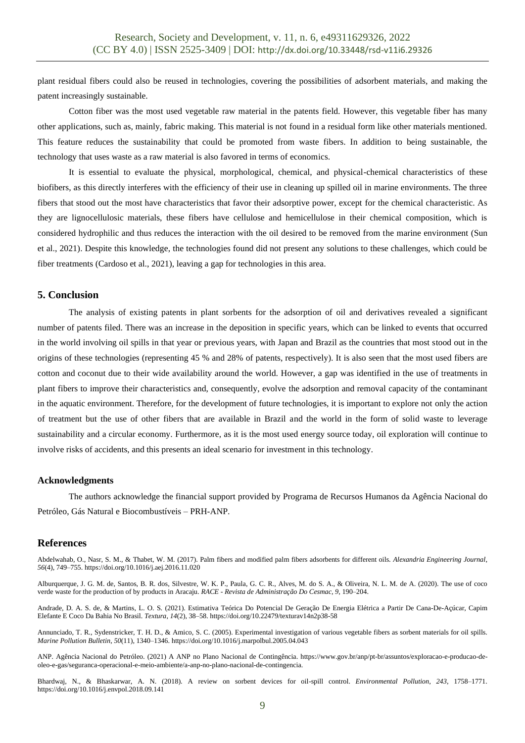plant residual fibers could also be reused in technologies, covering the possibilities of adsorbent materials, and making the patent increasingly sustainable.

Cotton fiber was the most used vegetable raw material in the patents field. However, this vegetable fiber has many other applications, such as, mainly, fabric making. This material is not found in a residual form like other materials mentioned. This feature reduces the sustainability that could be promoted from waste fibers. In addition to being sustainable, the technology that uses waste as a raw material is also favored in terms of economics.

It is essential to evaluate the physical, morphological, chemical, and physical-chemical characteristics of these biofibers, as this directly interferes with the efficiency of their use in cleaning up spilled oil in marine environments. The three fibers that stood out the most have characteristics that favor their adsorptive power, except for the chemical characteristic. As they are lignocellulosic materials, these fibers have cellulose and hemicellulose in their chemical composition, which is considered hydrophilic and thus reduces the interaction with the oil desired to be removed from the marine environment (Sun et al., 2021). Despite this knowledge, the technologies found did not present any solutions to these challenges, which could be fiber treatments (Cardoso et al., 2021), leaving a gap for technologies in this area.

# **5. Conclusion**

The analysis of existing patents in plant sorbents for the adsorption of oil and derivatives revealed a significant number of patents filed. There was an increase in the deposition in specific years, which can be linked to events that occurred in the world involving oil spills in that year or previous years, with Japan and Brazil as the countries that most stood out in the origins of these technologies (representing 45 % and 28% of patents, respectively). It is also seen that the most used fibers are cotton and coconut due to their wide availability around the world. However, a gap was identified in the use of treatments in plant fibers to improve their characteristics and, consequently, evolve the adsorption and removal capacity of the contaminant in the aquatic environment. Therefore, for the development of future technologies, it is important to explore not only the action of treatment but the use of other fibers that are available in Brazil and the world in the form of solid waste to leverage sustainability and a circular economy. Furthermore, as it is the most used energy source today, oil exploration will continue to involve risks of accidents, and this presents an ideal scenario for investment in this technology.

#### **Acknowledgments**

The authors acknowledge the financial support provided by Programa de Recursos Humanos da Agência Nacional do Petróleo, Gás Natural e Biocombustíveis – PRH-ANP.

# **References**

Abdelwahab, O., Nasr, S. M., & Thabet, W. M. (2017). Palm fibers and modified palm fibers adsorbents for different oils. *Alexandria Engineering Journal*, *56*(4), 749–755. https://doi.org/10.1016/j.aej.2016.11.020

Alburquerque, J. G. M. de, Santos, B. R. dos, Silvestre, W. K. P., Paula, G. C. R., Alves, M. do S. A., & Oliveira, N. L. M. de A. (2020). The use of coco verde waste for the production of by products in Aracaju. *RACE - Revista de Administração Do Cesmac*, *9*, 190–204.

Andrade, D. A. S. de, & Martins, L. O. S. (2021). Estimativa Teórica Do Potencial De Geração De Energia Elétrica a Partir De Cana-De-Açúcar, Capim Elefante E Coco Da Bahia No Brasil. *Textura*, *14*(2), 38–58. https://doi.org/10.22479/texturav14n2p38-58

Annunciado, T. R., Sydenstricker, T. H. D., & Amico, S. C. (2005). Experimental investigation of various vegetable fibers as sorbent materials for oil spills. *Marine Pollution Bulletin*, *50*(11), 1340–1346. https://doi.org/10.1016/j.marpolbul.2005.04.043

ANP. Agência Nacional do Petróleo. (2021) A ANP no Plano Nacional de Contingência. https://www.gov.br/anp/pt-br/assuntos/exploracao-e-producao-deoleo-e-gas/seguranca-operacional-e-meio-ambiente/a-anp-no-plano-nacional-de-contingencia.

Bhardwaj, N., & Bhaskarwar, A. N. (2018). A review on sorbent devices for oil-spill control. *Environmental Pollution*, *243*, 1758–1771. https://doi.org/10.1016/j.envpol.2018.09.141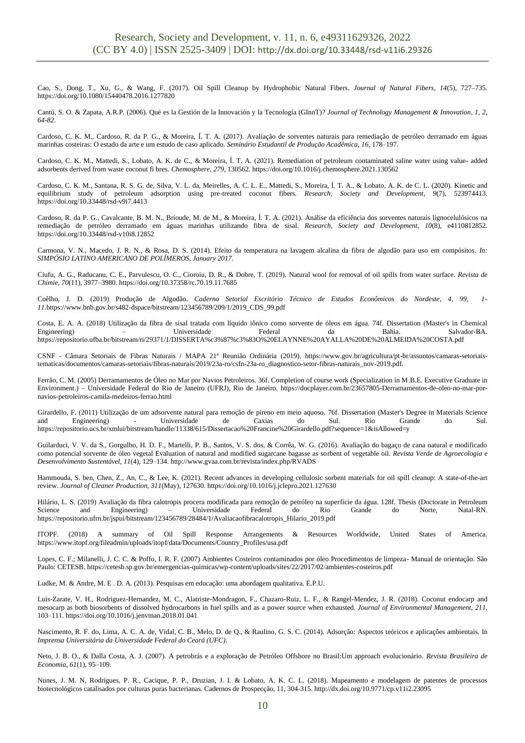Cao, S., Dong, T., Xu, G., & Wang, F. (2017). Oil Spill Cleanup by Hydrophobic Natural Fibers. *Journal of Natural Fibers*, *14*(5), 727–735. https://doi.org/10.1080/15440478.2016.1277820

Cantú, S. O. & Zapata, A.R.P. (2006). Qué es la Gestión de la Innovación y la Tecnología (GInnT)? *Journal of Technology Management & Innovation, 1, 2, 64-82.*

Cardoso, C. K. M., Cardoso, R. da P. G., & Moreira, Í. T. A. (2017). Avaliação de sorventes naturais para remediação de petróleo derramado em águas marinhas costeiras: O estado da arte e um estudo de caso aplicado. *Seminário Estudantil de Produção Acadêmica*, *16*, 178–197.

Cardoso, C. K. M., Mattedi, S., Lobato, A. K. de C., & Moreira, Í. T. A. (2021). Remediation of petroleum contaminated saline water using value- added adsorbents derived from waste coconut fi bres. *Chemosphere*, *279*, 130562. https://doi.org/10.1016/j.chemosphere.2021.130562

Cardoso, C. K. M., Santana, R. S. G. de, Silva, V. L. da, Meirelles, A. C. L. E., Mattedi, S., Moreira, Í. T. A., & Lobato, A. K. de C. L. (2020). Kinetic and equilibrium study of petroleum adsorption using pre-treated coconut fibers. *Research, Society and Development*, *9*(7), 523974413. https://doi.org/10.33448/rsd-v9i7.4413

Cardoso, R. da P. G., Cavalcante, B. M. N., Brioude, M. de M., & Moreira, Í. T. A. (2021). Análise da eficiência dos sorventes naturais lignocelulósicos na remediação de petróleo derramado em águas marinhas utilizando fibra de sisal. *Research, Society and Development*, *10*(8), e4110812852. https://doi.org/10.33448/rsd-v10i8.12852

Carmona, V. N., Macedo, J. R. N., & Rosa, D. S. (2014). Efeito da temperatura na lavagem alcalina da fibra de algodão para uso em compósitos. *In: SIMPÓSIO LATINO AMERICANO DE POLÍMEROS*, *January 2017*.

Ciufu, A. G., Raducanu, C. E., Parvulescu, O. C., Cioroiu, D. R., & Dobre, T. (2019). Natural wool for removal of oil spills from water surface. *Revista de Chimie*, *70*(11), 3977–3980. https://doi.org/10.37358/rc.70.19.11.7685

Coêlho, J. D. (2019) Produção de Algodão. *Caderno Setorial Escritório Técnico de Estudos Econômicos do Nordeste, 4, 99, 1- 11*.https://www.bnb.gov.br/s482-dspace/bitstream/123456789/209/1/2019\_CDS\_99.pdf

Costa, E. A. A. (2018) Utilização da fibra de sisal tratada com líquido iônico como sorvente de óleos em água. 74f. Dissertation (Master's in Chemical Engineering) – Universidade Federal da Bahia. Salvador-BA. https://repositorio.ufba.br/bitstream/ri/29371/1/DISSERTA%c3%87%c3%83O%20ELAYNNE%20AYALLA%20DE%20ALMEIDA%20COSTA.pdf

CSNF - Câmara Setoriais de Fibras Naturais / MAPA 21ª Reunião Ordinária (2019). https://www.gov.br/agricultura/pt-br/assuntos/camaras-setoriaistematicas/documentos/camaras-setoriais/fibras-naturais/2019/23a-ro/csfn-23a-ro\_diagnostico-setor-fibras-naturais\_nov-2019.pdf.

Ferrão, C. M. (2005) Derramamentos de Óleo no Mar por Navios Petroleiros. 36f. Completion of course work (Specialization in M.B.E. Executive Graduate in Environment.) – Universidade Federal do Rio de Janeiro (UFRJ), Rio de Janeiro. [https://docplayer.com.br/23657805-Derramamentos-de-oleo-no-mar-por](https://docplayer.com.br/23657805-Derramamentos-de-oleo-no-mar-por-navios-petroleiros-camila-medeiros-ferrao.html)[navios-petroleiros-camila-medeiros-ferrao.html](https://docplayer.com.br/23657805-Derramamentos-de-oleo-no-mar-por-navios-petroleiros-camila-medeiros-ferrao.html)

Girardello, F. (2011) Utilização de um adsorvente natural para remoção de pireno em meio aquoso. 76f. Dissertation (Master's Degree in Materials Science and Engineering) - Universidade de Caxias do Sul. Rio Grande do Sul. <https://repositorio.ucs.br/xmlui/bitstream/handle/11338/615/Dissertacao%20Francine%20Girardello.pdf?sequence=1&isAllowed=y>

Guilarduci, V. V. da S., Gorgulho, H. D. F., Martelli, P. B., Santos, V. S. dos, & Corrêa, W. G. (2016). Avaliação do bagaço de cana natural e modificado como potencial sorvente de óleo vegetal Evaluation of natural and modified sugarcane bagasse as sorbent of vegetable oil. *Revista Verde de Agroecologia e Desenvolvimento Sustentável*, *11*(4), 129–134. http://www.gvaa.com.br/revista/index.php/RVADS

Hammouda, S. ben, Chen, Z., An, C., & Lee, K. (2021). Recent advances in developing cellulosic sorbent materials for oil spill cleanup: A state-of-the-art review. *Journal of Cleaner Production*, *311*(May), 127630. https://doi.org/10.1016/j.jclepro.2021.127630

Hilário, L. S. (2019) Avaliação da fibra calotropis procera modificada para remoção de petróleo na superfície da água. 128f. Thesis (Doctorate in Petroleum Science and Engineering) – Universidade Federal do Rio Grande do Norte, Natal-RN. [https://repositorio.ufrn.br/jspui/bitstream/123456789/28484/1/Avaliacaofibracalotropis\\_Hilario\\_2019.pdf](https://repositorio.ufrn.br/jspui/bitstream/123456789/28484/1/Avaliacaofibracalotropis_Hilario_2019.pdf)

ITOPF. (2018) A summary of Oil Spill Response Arrangements & Resources Worldwide, United States of America. https://www.itopf.org/fileadmin/uploads/itopf/data/Documents/Country\_Profiles/usa.pdf

Lopes, C. F.; Milanelli, J. C. C. & Poffo, I. R. F. (2007) Ambientes Costeiros contaminados por óleo Procedimentos de limpeza- Manual de orientação. São Paulo: CETESB.<https://cetesb.sp.gov.br/emergencias-quimicas/wp-content/uploads/sites/22/2017/02/ambientes-costeiros.pdf>

Ludke, M. & Andre, M. E . D. A. (2013). Pesquisas em educação: uma abordagem qualitativa. E.P.U.

Luis-Zarate, V. H., Rodriguez-Hernandez, M. C., Alatriste-Mondragon, F., Chazaro-Ruiz, L. F., & Rangel-Mendez, J. R. (2018). Coconut endocarp and mesocarp as both biosorbents of dissolved hydrocarbons in fuel spills and as a power source when exhausted. *Journal of Environmental Management*, *211*, 103–111. https://doi.org/10.1016/j.jenvman.2018.01.041

Nascimento, R. F. do, Lima, A. C. A. de, Vidal, C. B., Melo, D. de Q., & Raulino, G. S. C. (2014). Adsorção: Aspectos teóricos e aplicações ambientais. In *Imprensa Universitária da Universidade Federal do Ceará (UFC)*.

Neto, J. B. O., & Dalla Costa, A. J. (2007). A petrobrás e a exploração de Petróleo Offshore no Brasil:Um approach evolucionário. *Revista Brasileira de Economia*, *61*(1), 95–109.

Nunes, J. M. N, Rodrigues, P. R., Cacique, P. P., Druzian, J. I. & Lobato, A. K. C. L. (2018). Mapeamento e modelagem de patentes de processos biotecnológicos catalisados por culturas puras bacterianas. Cadernos de Prospecção, 11, 304-315. http://dx.doi.org/10.9771/cp.v11i2.23095